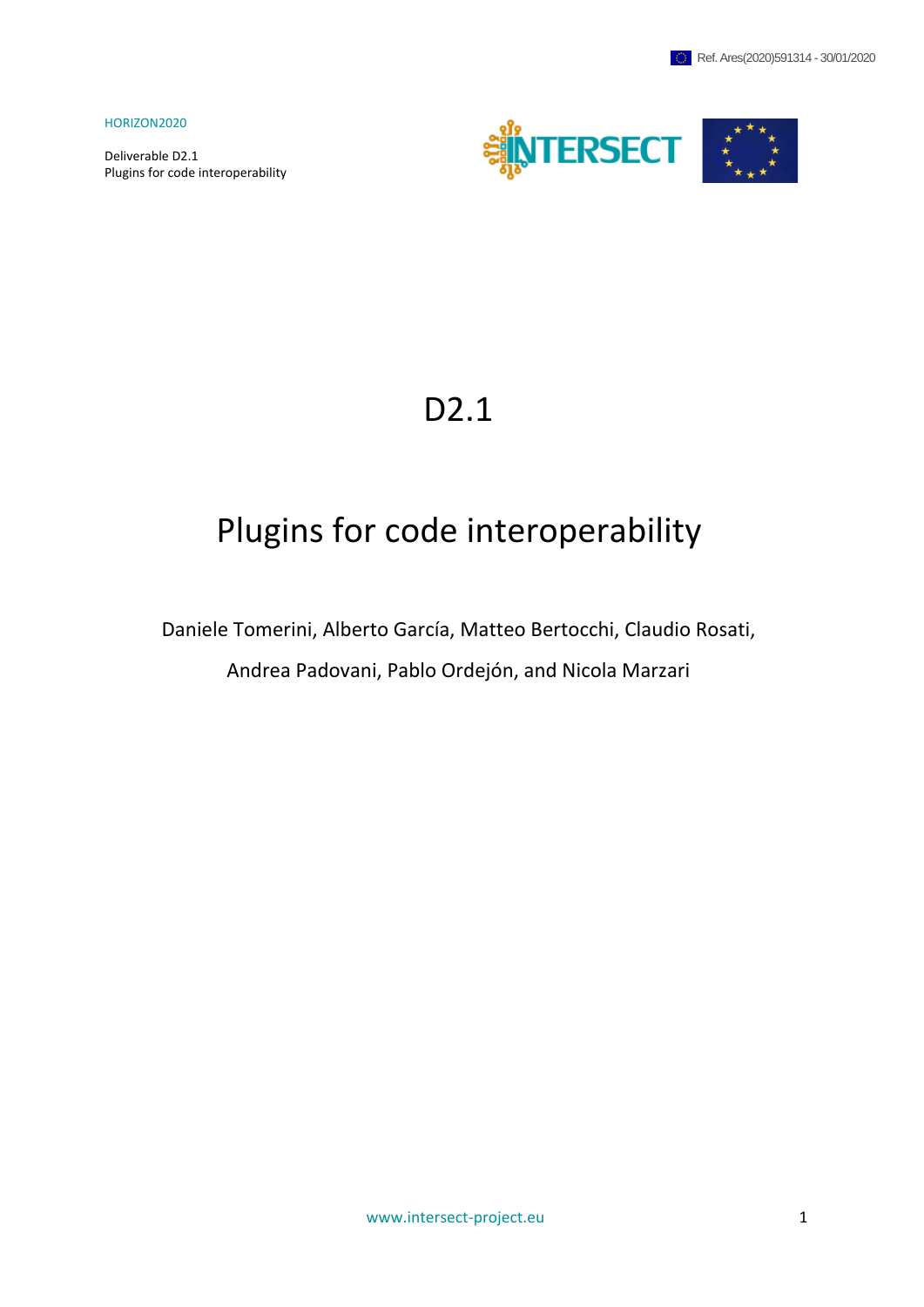Deliverable D2.1 Plugins for code interoperability



# D2.1

# Plugins for code interoperability

Daniele Tomerini, Alberto García, Matteo Bertocchi, Claudio Rosati,

Andrea Padovani, Pablo Ordejón, and Nicola Marzari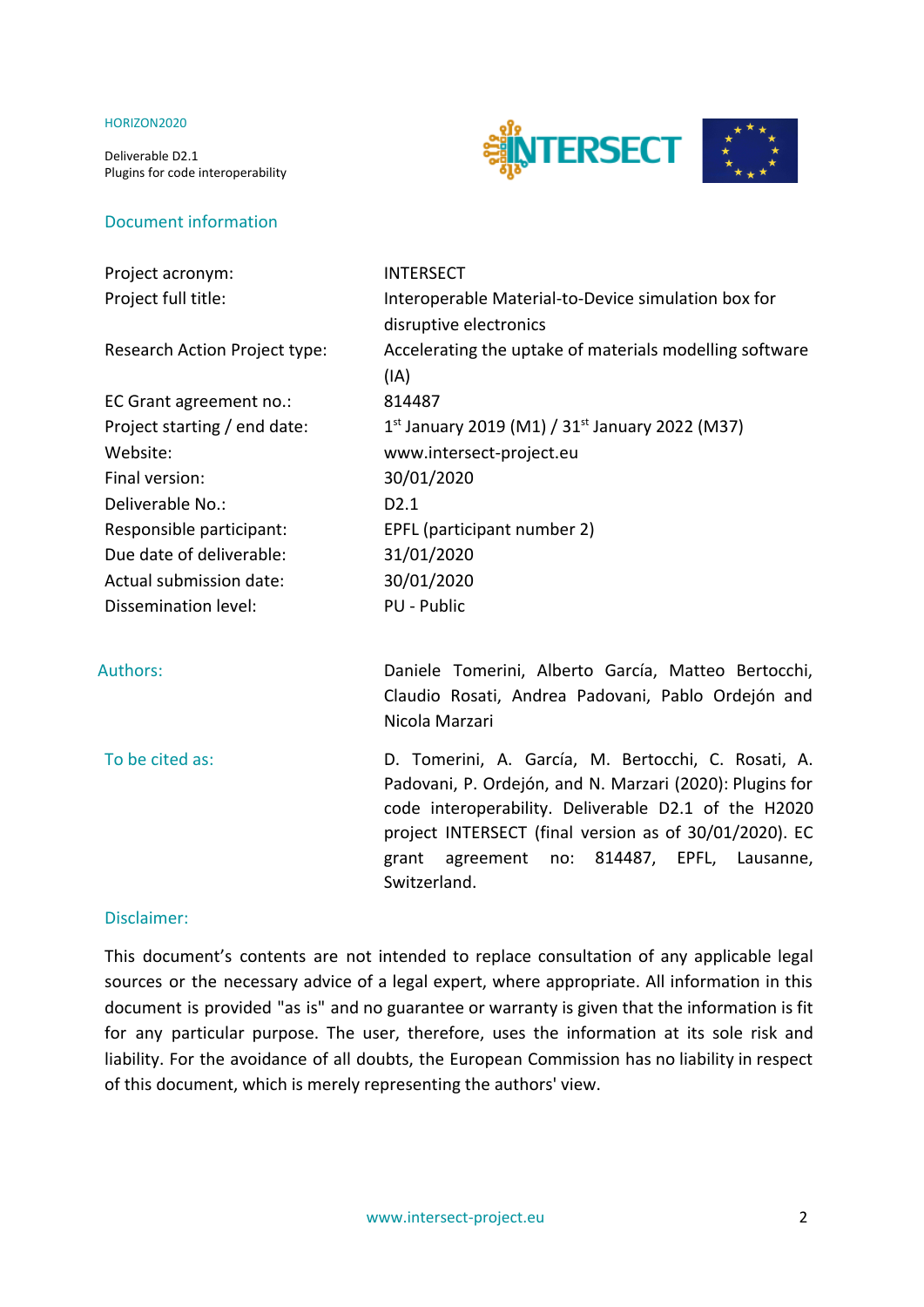Deliverable D2.1 Plugins for code interoperability



#### Document information

| Project acronym:              | <b>INTERSECT</b>                                                                                               |
|-------------------------------|----------------------------------------------------------------------------------------------------------------|
| Project full title:           | Interoperable Material-to-Device simulation box for                                                            |
|                               | disruptive electronics                                                                                         |
| Research Action Project type: | Accelerating the uptake of materials modelling software                                                        |
|                               | (IA)                                                                                                           |
| EC Grant agreement no.:       | 814487                                                                                                         |
| Project starting / end date:  | 1st January 2019 (M1) / $31st$ January 2022 (M37)                                                              |
| Website:                      | www.intersect-project.eu                                                                                       |
| Final version:                | 30/01/2020                                                                                                     |
| Deliverable No.:              | D2.1                                                                                                           |
| Responsible participant:      | EPFL (participant number 2)                                                                                    |
| Due date of deliverable:      | 31/01/2020                                                                                                     |
| Actual submission date:       | 30/01/2020                                                                                                     |
| Dissemination level:          | PU - Public                                                                                                    |
|                               |                                                                                                                |
| <b>Authors:</b>               | Daniele Tomerini, Alberto García, Matteo Bertocchi,<br>Claudio Rosati, Andrea Padovani, Pablo Ordejón and      |
|                               | Nicola Marzari                                                                                                 |
| To be cited as:               | D. Tomerini, A. García, M. Bertocchi, C. Rosati, A.                                                            |
|                               | Padovani, P. Ordejón, and N. Marzari (2020): Plugins for                                                       |
|                               | code interoperability. Deliverable D2.1 of the H2020<br>project INTERSECT (final version as of 30/01/2020). EC |

#### Disclaimer:

This document's contents are not intended to replace consultation of any applicable legal sources or the necessary advice of a legal expert, where appropriate. All information in this document is provided "as is" and no guarantee or warranty is given that the information is fit for any particular purpose. The user, therefore, uses the information at its sole risk and liability. For the avoidance of all doubts, the European Commission has no liability in respect of this document, which is merely representing the authors' view.

Switzerland.

grant agreement no: 814487, EPFL, Lausanne,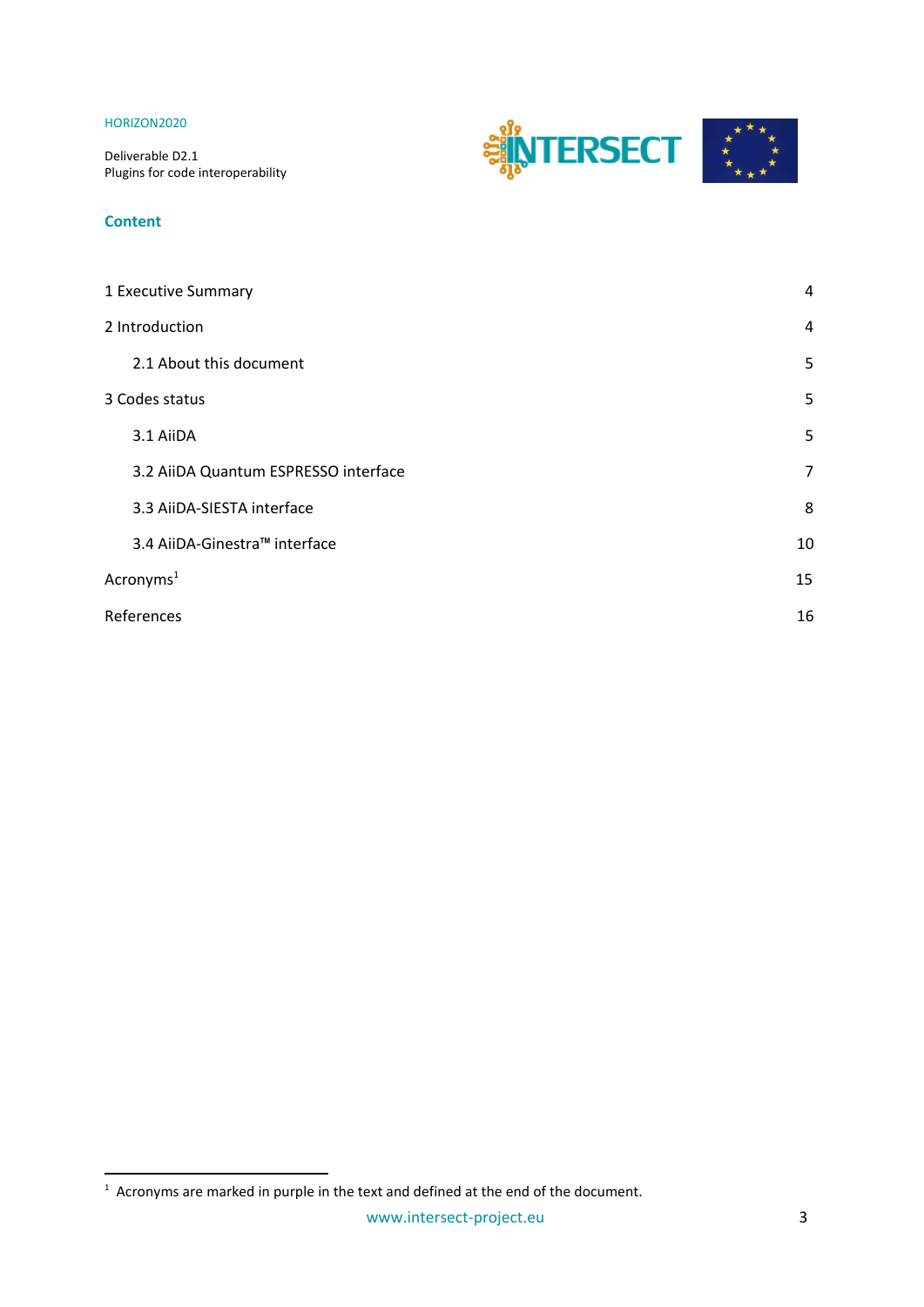Deliverable D2.1 Plugins for code interoperability

# **INTERSECT**

#### **Content**

| 1 Executive Summary                  | 4              |
|--------------------------------------|----------------|
| 2 Introduction                       | 4              |
| 2.1 About this document              | 5              |
| 3 Codes status                       | 5              |
| 3.1 AiiDA                            | 5              |
| 3.2 AiiDA Quantum ESPRESSO interface | $\overline{7}$ |
| 3.3 AiiDA-SIESTA interface           | 8              |
| 3.4 AiiDA-Ginestra™ interface        | 10             |
| Acronyms <sup>1</sup>                | 15             |
| References                           | 16             |
|                                      |                |

 $1$  Acronyms are marked in purple in the text and defined at the end of the document.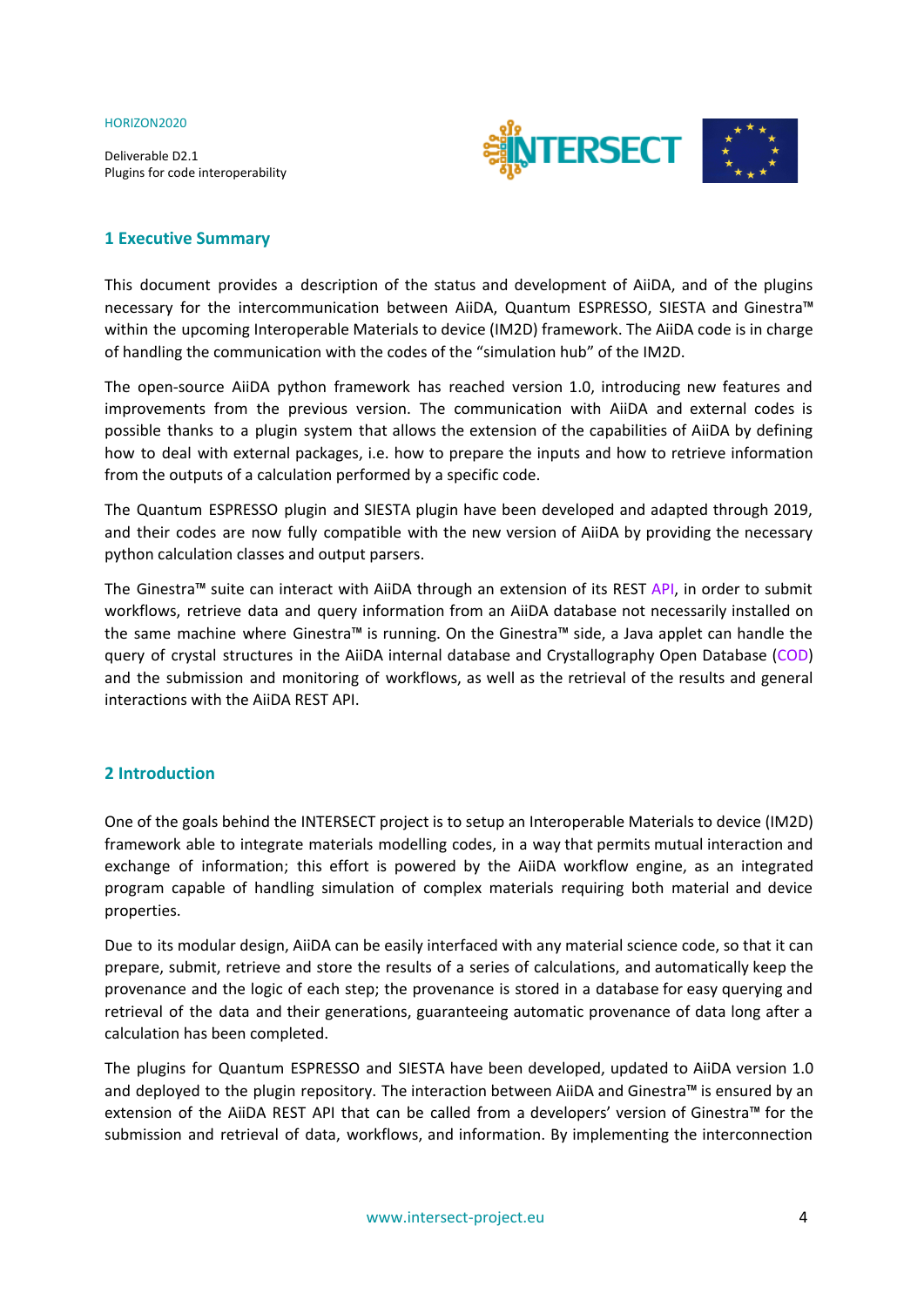Deliverable D2.1 Plugins for code interoperability



#### <span id="page-3-0"></span>**1 Executive Summary**

This document provides a description of the status and development of AiiDA, and of the plugins necessary for the intercommunication between AiiDA, Quantum ESPRESSO, SIESTA and Ginestra™ within the upcoming Interoperable Materials to device (IM2D) framework. The AiiDA code is in charge of handling the communication with the codes of the "simulation hub" of the IM2D.

The open-source AiiDA python framework has reached version 1.0, introducing new features and improvements from the previous version. The communication with AiiDA and external codes is possible thanks to a plugin system that allows the extension of the capabilities of AiiDA by defining how to deal with external packages, i.e. how to prepare the inputs and how to retrieve information from the outputs of a calculation performed by a specific code.

The Quantum ESPRESSO plugin and SIESTA plugin have been developed and adapted through 2019, and their codes are now fully compatible with the new version of AiiDA by providing the necessary python calculation classes and output parsers.

The Ginestra™ suite can interact with AiiDA through an extension of its REST API, in order to submit workflows, retrieve data and query information from an AiiDA database not necessarily installed on the same machine where Ginestra™ is running. On the Ginestra™ side, a Java applet can handle the query of crystal structures in the AiiDA internal database and Crystallography Open Database (COD) and the submission and monitoring of workflows, as well as the retrieval of the results and general interactions with the AiiDA REST API.

#### <span id="page-3-1"></span>**2 Introduction**

One of the goals behind the INTERSECT project is to setup an Interoperable Materials to device (IM2D) framework able to integrate materials modelling codes, in a way that permits mutual interaction and exchange of information; this effort is powered by the AiiDA workflow engine, as an integrated program capable of handling simulation of complex materials requiring both material and device properties.

Due to its modular design, AiiDA can be easily interfaced with any material science code, so that it can prepare, submit, retrieve and store the results of a series of calculations, and automatically keep the provenance and the logic of each step; the provenance is stored in a database for easy querying and retrieval of the data and their generations, guaranteeing automatic provenance of data long after a calculation has been completed.

The plugins for Quantum ESPRESSO and SIESTA have been developed, updated to AiiDA version 1.0 and deployed to the plugin repository. The interaction between AiiDA and Ginestra™ is ensured by an extension of the AiiDA REST API that can be called from a developers' version of Ginestra™ for the submission and retrieval of data, workflows, and information. By implementing the interconnection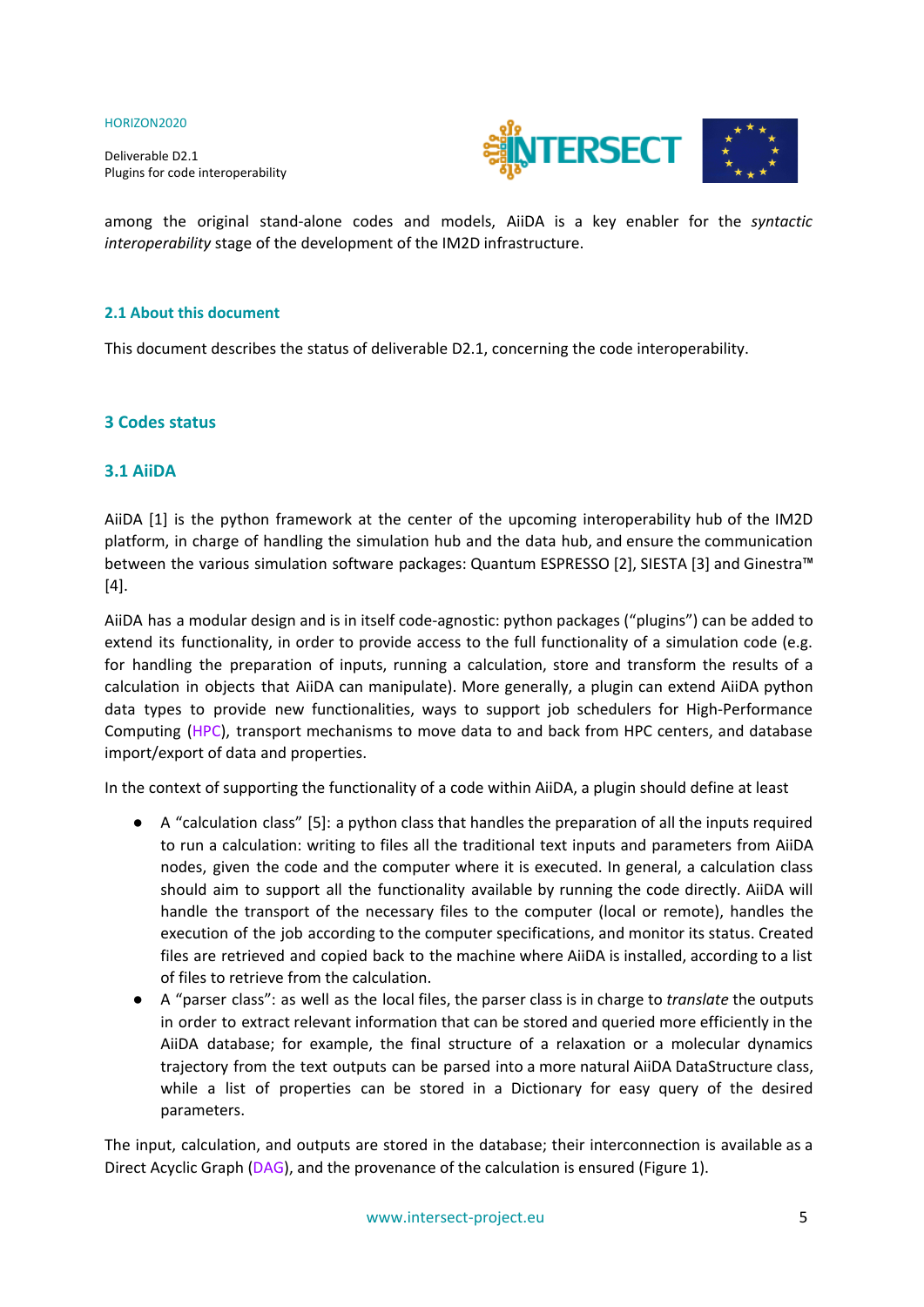Deliverable D2.1 Plugins for code interoperability



among the original stand-alone codes and models, AiiDA is a key enabler for the *syntactic interoperability* stage of the development of the IM2D infrastructure.

#### **2.1 About this document**

This document describes the status of deliverable D2.1, concerning the code interoperability.

#### **3 Codes status**

#### <span id="page-4-0"></span>**3.1 AiiDA**

AiiDA [1] is the python framework at the center of the upcoming interoperability hub of the IM2D platform, in charge of handling the simulation hub and the data hub, and ensure the communication between the various simulation software packages: Quantum ESPRESSO [2], SIESTA [3] and Ginestra™ [4].

AiiDA has a modular design and is in itself code-agnostic: python packages ("plugins") can be added to extend its functionality, in order to provide access to the full functionality of a simulation code (e.g. for handling the preparation of inputs, running a calculation, store and transform the results of a calculation in objects that AiiDA can manipulate). More generally, a plugin can extend AiiDA python data types to provide new functionalities, ways to support job schedulers for High-Performance Computing (HPC), transport mechanisms to move data to and back from HPC centers, and database import/export of data and properties.

In the context of supporting the functionality of a code within AiiDA, a plugin should define at least

- A "calculation class" [5]: a python class that handles the preparation of all the inputs required to run a calculation: writing to files all the traditional text inputs and parameters from AiiDA nodes, given the code and the computer where it is executed. In general, a calculation class should aim to support all the functionality available by running the code directly. AiiDA will handle the transport of the necessary files to the computer (local or remote), handles the execution of the job according to the computer specifications, and monitor its status. Created files are retrieved and copied back to the machine where AiiDA is installed, according to a list of files to retrieve from the calculation.
- A "parser class": as well as the local files, the parser class is in charge to *translate* the outputs in order to extract relevant information that can be stored and queried more efficiently in the AiiDA database; for example, the final structure of a relaxation or a molecular dynamics trajectory from the text outputs can be parsed into a more natural AiiDA DataStructure class, while a list of properties can be stored in a Dictionary for easy query of the desired parameters.

The input, calculation, and outputs are stored in the database; their interconnection is available as a Direct Acyclic Graph (DAG), and the provenance of the calculation is ensured (Figure 1).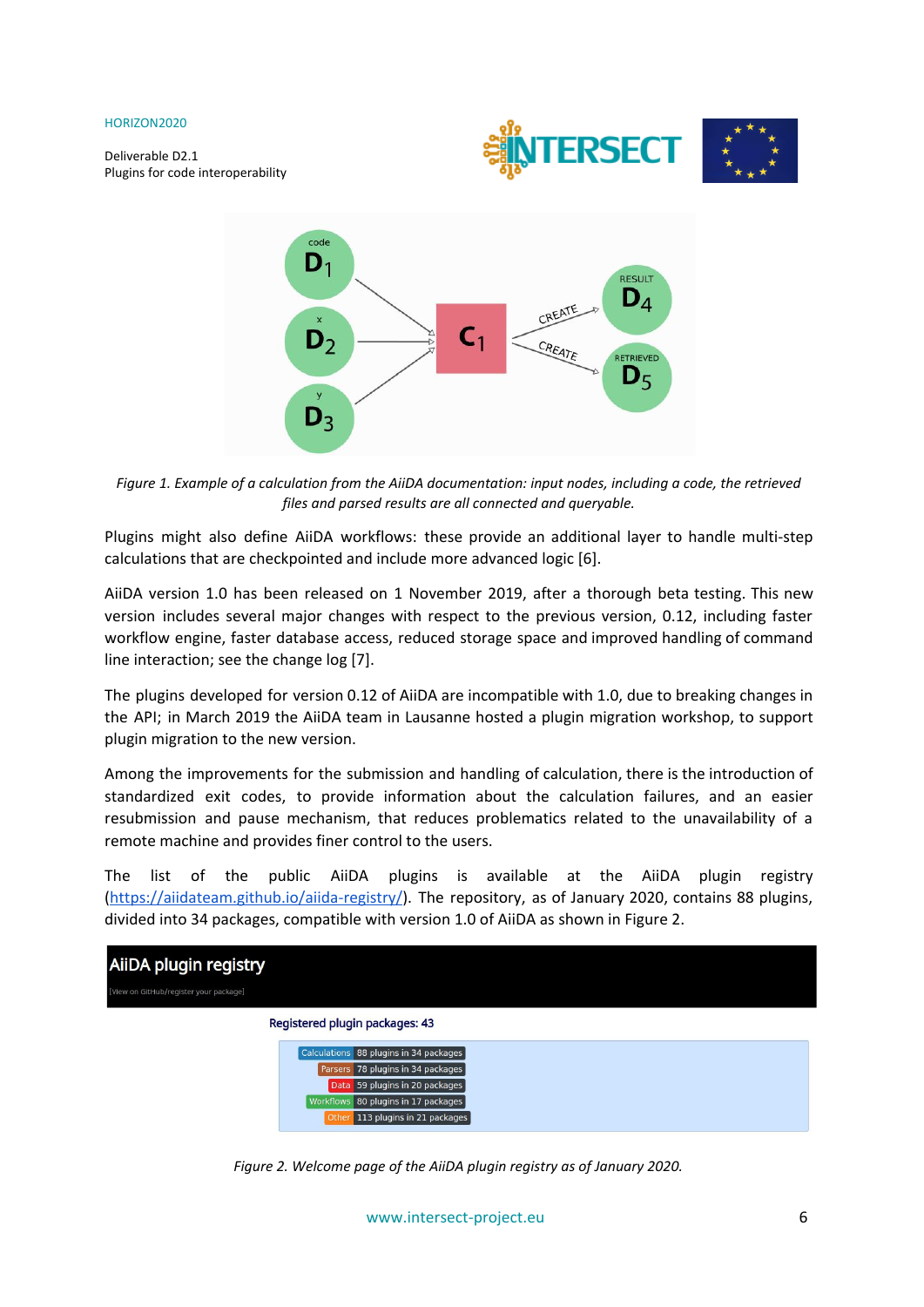Deliverable D2.1 Plugins for code interoperability





Figure 1. Example of a calculation from the AiiDA documentation: input nodes, including a code, the retrieved *files and parsed results are all connected and queryable.*

Plugins might also define AiiDA workflows: these provide an additional layer to handle multi-step calculations that are checkpointed and include more advanced logic [6].

AiiDA version 1.0 has been released on 1 November 2019, after a thorough beta testing. This new version includes several major changes with respect to the previous version, 0.12, including faster workflow engine, faster database access, reduced storage space and improved handling of command line interaction; see the change log [7].

The plugins developed for version 0.12 of AiiDA are incompatible with 1.0, due to breaking changes in the API; in March 2019 the AiiDA team in Lausanne hosted a plugin migration workshop, to support plugin migration to the new version.

Among the improvements for the submission and handling of calculation, there is the introduction of standardized exit codes, to provide information about the calculation failures, and an easier resubmission and pause mechanism, that reduces problematics related to the unavailability of a remote machine and provides finer control to the users.

The list of the public AiiDA plugins is available at the AiiDA plugin registry ([https://aiidateam.github.io/aiida-registry/\)](https://aiidateam.github.io/aiida-registry/). The repository, as of January 2020, contains 88 plugins, divided into 34 packages, compatible with version 1.0 of AiiDA as shown in Figure 2.



|       | Calculations 88 plugins in 34 packages |
|-------|----------------------------------------|
|       | Parsers 78 plugins in 34 packages      |
|       | Data 59 plugins in 20 packages         |
|       | Workflows 80 plugins in 17 packages    |
| Other | 113 plugins in 21 packages             |

*Figure 2. Welcome page of the AiiDA plugin registry as of January 2020.*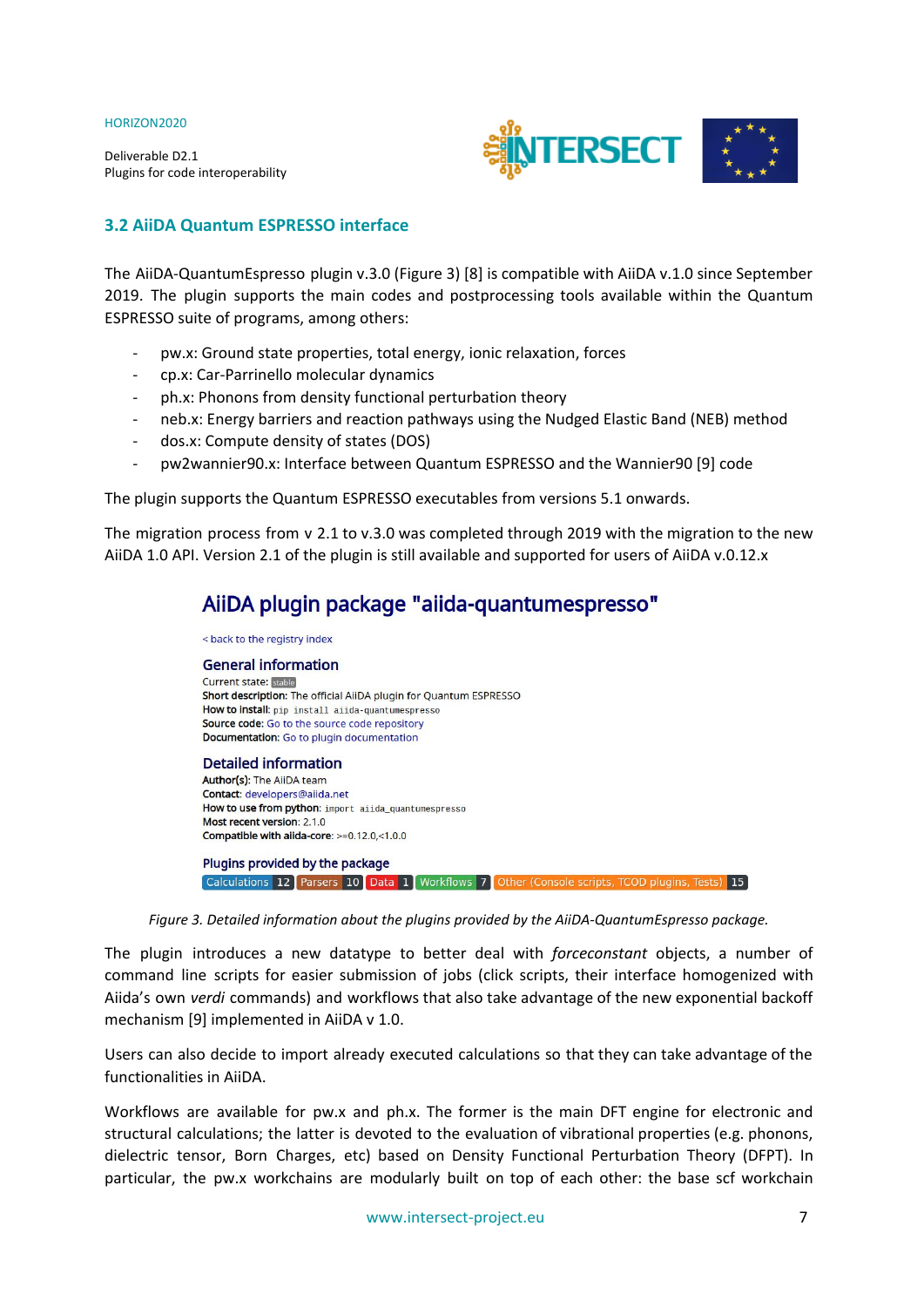Deliverable D2.1 Plugins for code interoperability



### <span id="page-6-0"></span>**3.2 AiiDA Quantum ESPRESSO interface**

The AiiDA-QuantumEspresso plugin v.3.0 (Figure 3) [8] is compatible with AiiDA v.1.0 since September 2019. The plugin supports the main codes and postprocessing tools available within the Quantum ESPRESSO suite of programs, among others:

- pw.x: Ground state properties, total energy, ionic relaxation, forces
- cp.x: Car-Parrinello molecular dynamics
- ph.x: Phonons from density functional perturbation theory
- neb.x: Energy barriers and reaction pathways using the Nudged Elastic Band (NEB) method
- dos.x: Compute density of states (DOS)
- pw2wannier90.x: Interface between Quantum ESPRESSO and the Wannier90 [9] code

The plugin supports the Quantum ESPRESSO executables from versions 5.1 onwards.

The migration process from  $v$  2.1 to  $v.3.0$  was completed through 2019 with the migration to the new AiiDA 1.0 API. Version 2.1 of the plugin is still available and supported for users of AiiDA v.0.12.x

## AiiDA plugin package "aiida-quantumespresso"



*Figure 3. Detailed information about the plugins provided by the AiiDA-QuantumEspresso package.*

The plugin introduces a new datatype to better deal with *forceconstant* objects, a number of command line scripts for easier submission of jobs (click scripts, their interface homogenized with Aiida's own *verdi* commands) and workflows that also take advantage of the new exponential backoff mechanism [9] implemented in AiiDA v 1.0.

Users can also decide to import already executed calculations so that they can take advantage of the functionalities in AiiDA.

Workflows are available for pw.x and ph.x. The former is the main DFT engine for electronic and structural calculations; the latter is devoted to the evaluation of vibrational properties (e.g. phonons, dielectric tensor, Born Charges, etc) based on Density Functional Perturbation Theory (DFPT). In particular, the pw.x workchains are modularly built on top of each other: the base scf workchain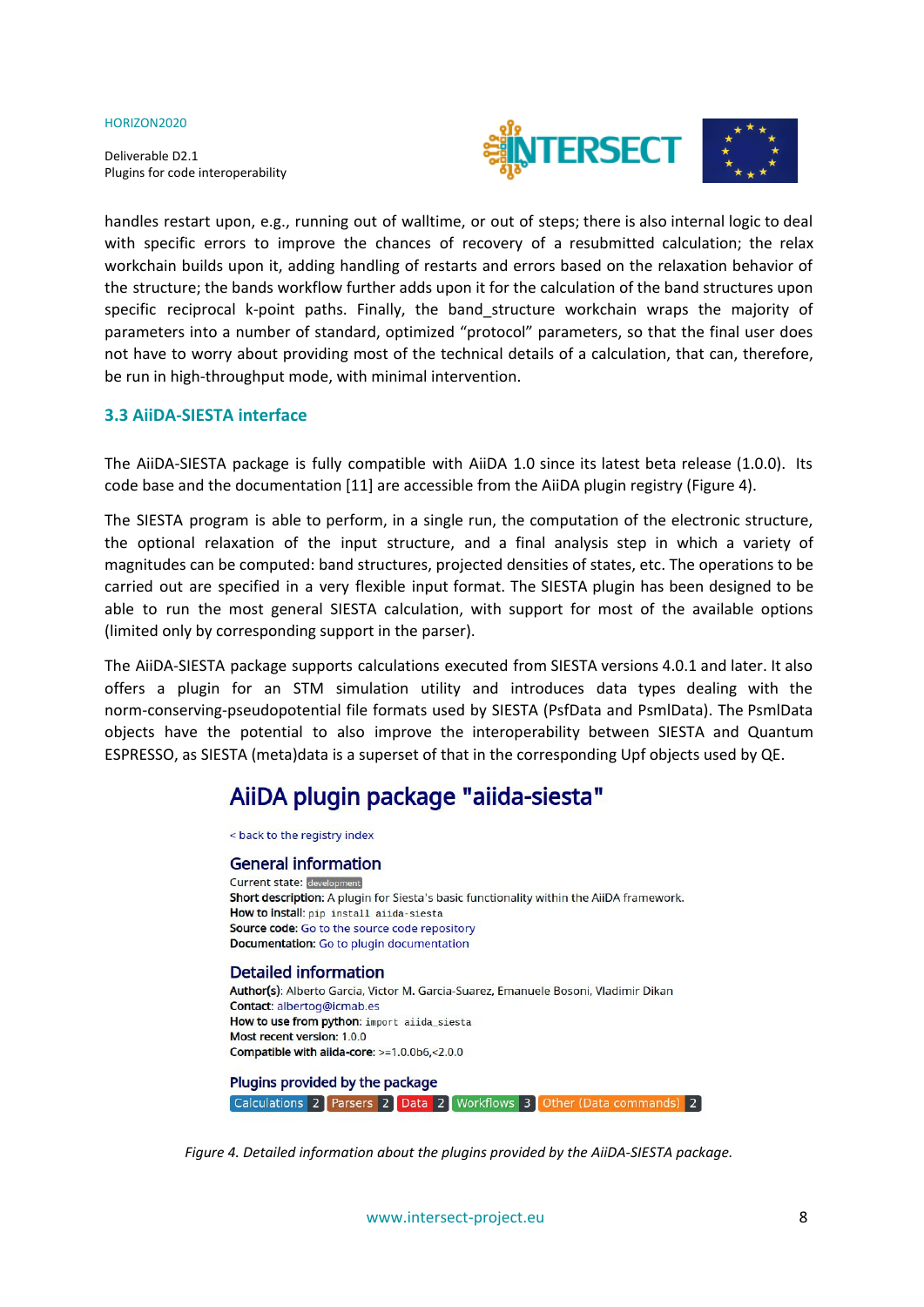Deliverable D2.1 Plugins for code interoperability



handles restart upon, e.g., running out of walltime, or out of steps; there is also internal logic to deal with specific errors to improve the chances of recovery of a resubmitted calculation; the relax workchain builds upon it, adding handling of restarts and errors based on the relaxation behavior of the structure; the bands workflow further adds upon it for the calculation of the band structures upon specific reciprocal k-point paths. Finally, the band\_structure workchain wraps the majority of parameters into a number of standard, optimized "protocol" parameters, so that the final user does not have to worry about providing most of the technical details of a calculation, that can, therefore, be run in high-throughput mode, with minimal intervention.

#### <span id="page-7-0"></span>**3.3 AiiDA-SIESTA interface**

The AiiDA-SIESTA package is fully compatible with AiiDA 1.0 since its latest beta release (1.0.0). Its code base and the documentation [11] are accessible from the AiiDA plugin registry (Figure 4).

The SIESTA program is able to perform, in a single run, the computation of the electronic structure, the optional relaxation of the input structure, and a final analysis step in which a variety of magnitudes can be computed: band structures, projected densities of states, etc. The operations to be carried out are specified in a very flexible input format. The SIESTA plugin has been designed to be able to run the most general SIESTA calculation, with support for most of the available options (limited only by corresponding support in the parser).

The AiiDA-SIESTA package supports calculations executed from SIESTA versions 4.0.1 and later. It also offers a plugin for an STM simulation utility and introduces data types dealing with the norm-conserving-pseudopotential file formats used by SIESTA (PsfData and PsmlData). The PsmlData objects have the potential to also improve the interoperability between SIESTA and Quantum ESPRESSO, as SIESTA (meta)data is a superset of that in the corresponding Upf objects used by QE.

## AiiDA plugin package "aiida-siesta"

< back to the registry index

#### **General information** Current state: development Short description: A plugin for Siesta's basic functionality within the AiiDA framework. How to install: pip install aiida-siesta Source code: Go to the source code repository Documentation: Go to plugin documentation

#### **Detailed information**

Author(s): Alberto Garcia, Victor M. Garcia-Suarez, Emanuele Bosoni, Vladimir Dikan Contact: albertog@icmab.es How to use from python: import aiida\_siesta Most recent version: 1.0.0 Compatible with aiida-core: >=1.0.0b6,<2.0.0

Plugins provided by the package Calculations 2 Parsers 2 Data 2 Workflows 3 Other (Data commands) 2

*Figure 4. Detailed information about the plugins provided by the AiiDA-SIESTA package.*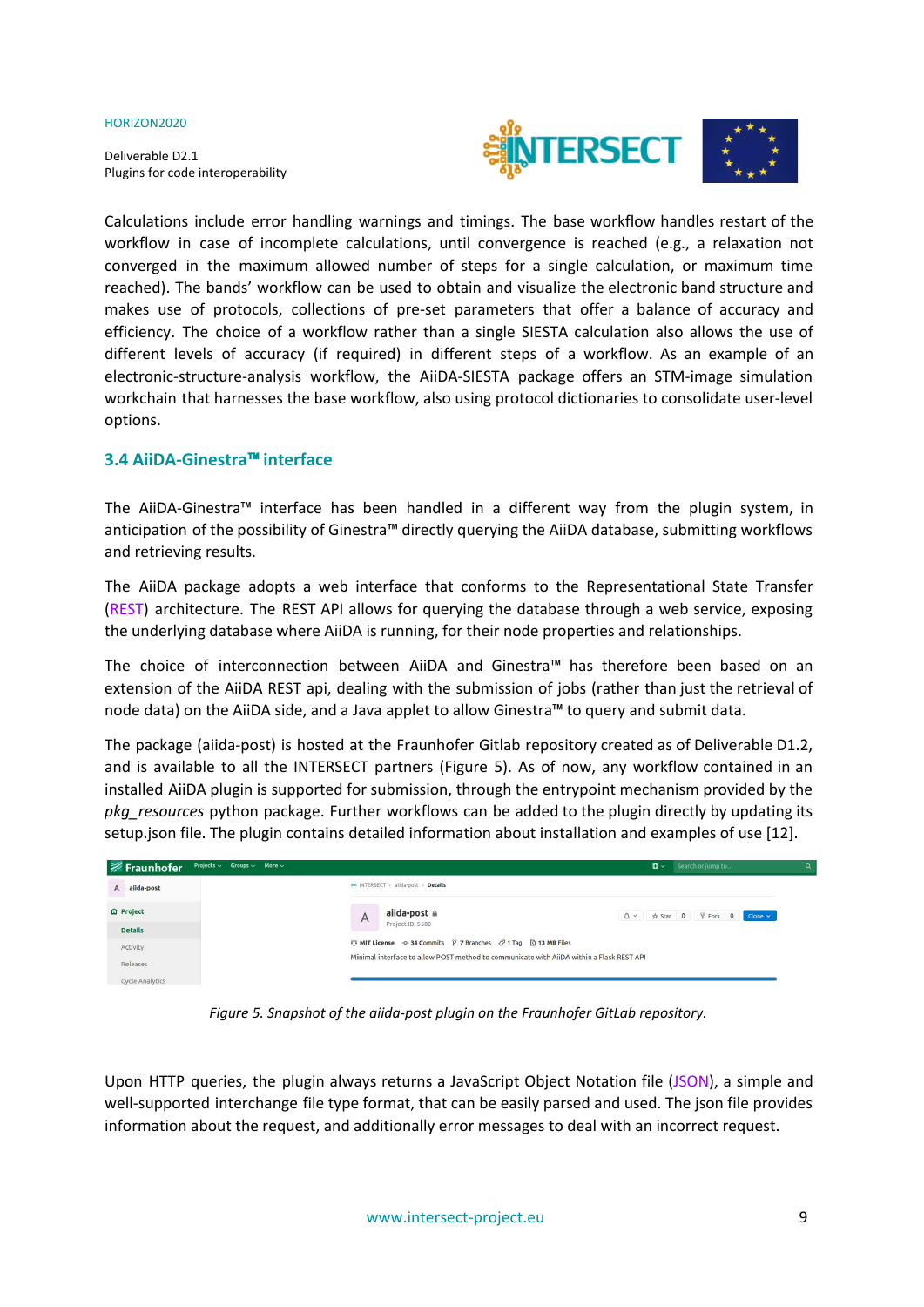Deliverable D2.1 Plugins for code interoperability



Calculations include error handling warnings and timings. The base workflow handles restart of the workflow in case of incomplete calculations, until convergence is reached (e.g., a relaxation not converged in the maximum allowed number of steps for a single calculation, or maximum time reached). The bands' workflow can be used to obtain and visualize the electronic band structure and makes use of protocols, collections of pre-set parameters that offer a balance of accuracy and efficiency. The choice of a workflow rather than a single SIESTA calculation also allows the use of different levels of accuracy (if required) in different steps of a workflow. As an example of an electronic-structure-analysis workflow, the AiiDA-SIESTA package offers an STM-image simulation workchain that harnesses the base workflow, also using protocol dictionaries to consolidate user-level options.

#### <span id="page-8-0"></span>**3.4 AiiDA-Ginestra**™ **interface**

The AiiDA-Ginestra™ interface has been handled in a different way from the plugin system, in anticipation of the possibility of Ginestra™ directly querying the AiiDA database, submitting workflows and retrieving results.

The AiiDA package adopts a web interface that conforms to the Representational State Transfer (REST) architecture. The REST API allows for querying the database through a web service, exposing the underlying database where AiiDA is running, for their node properties and relationships.

The choice of interconnection between AiiDA and Ginestra™ has therefore been based on an extension of the AiiDA REST api, dealing with the submission of jobs (rather than just the retrieval of node data) on the AiiDA side, and a Java applet to allow Ginestra™ to query and submit data.

The package (aiida-post) is hosted at the Fraunhofer Gitlab repository created as of Deliverable D1.2, and is available to all the INTERSECT partners (Figure 5). As of now, any workflow contained in an installed AiiDA plugin is supported for submission, through the entrypoint mechanism provided by the *pkg\_resources* python package. Further workflows can be added to the plugin directly by updating its setup.json file. The plugin contains detailed information about installation and examples of use [12].

| Projects $\vee$ Groups $\vee$ More $\vee$<br>i <i>≢</i> Fraunhofer |                                                                                          | $\Box \sim$ Search or jump to | Q |
|--------------------------------------------------------------------|------------------------------------------------------------------------------------------|-------------------------------|---|
| A alida-post                                                       | <b>MM INTERSECT</b> > aiida-post > Details                                               |                               |   |
| <b>企</b> Project                                                   | aiida-post a<br>A                                                                        | △ ★ Star 0 ¥ Fork 0 Clone v   |   |
| <b>Details</b>                                                     | Project ID: 5580                                                                         |                               |   |
| Activity                                                           |                                                                                          |                               |   |
| Releases                                                           | Minimal interface to allow POST method to communicate with AiiDA within a Flask REST API |                               |   |
| <b>Cycle Analytics</b>                                             |                                                                                          |                               |   |

*Figure 5. Snapshot of the aiida-post plugin on the Fraunhofer GitLab repository.*

Upon HTTP queries, the plugin always returns a JavaScript Object Notation file (JSON), a simple and well-supported interchange file type format, that can be easily parsed and used. The json file provides information about the request, and additionally error messages to deal with an incorrect request.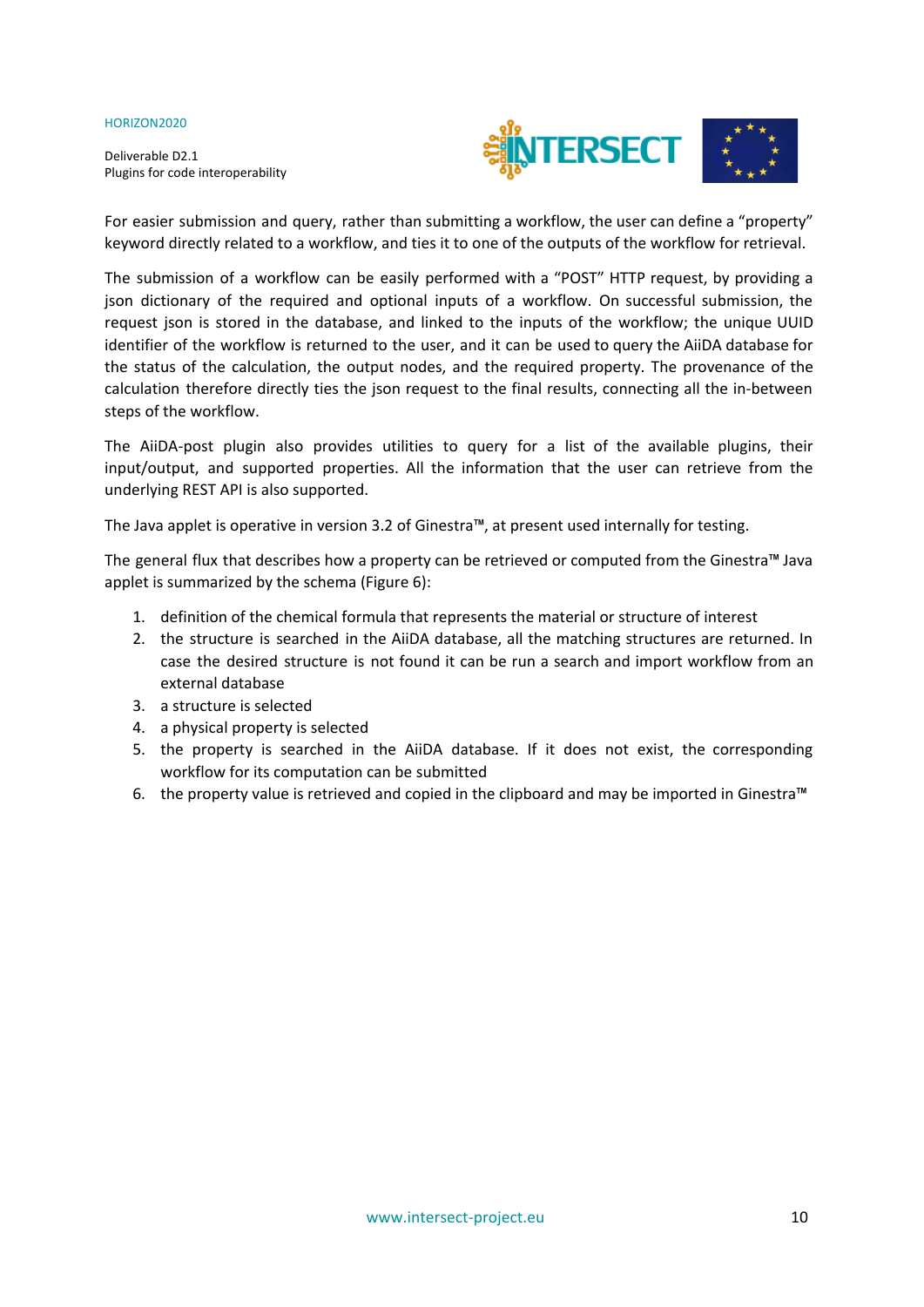Deliverable D2.1 Plugins for code interoperability



For easier submission and query, rather than submitting a workflow, the user can define a "property" keyword directly related to a workflow, and ties it to one of the outputs of the workflow for retrieval.

The submission of a workflow can be easily performed with a "POST" HTTP request, by providing a json dictionary of the required and optional inputs of a workflow. On successful submission, the request json is stored in the database, and linked to the inputs of the workflow; the unique UUID identifier of the workflow is returned to the user, and it can be used to query the AiiDA database for the status of the calculation, the output nodes, and the required property. The provenance of the calculation therefore directly ties the json request to the final results, connecting all the in-between steps of the workflow.

The AiiDA-post plugin also provides utilities to query for a list of the available plugins, their input/output, and supported properties. All the information that the user can retrieve from the underlying REST API is also supported.

The Java applet is operative in version 3.2 of Ginestra™, at present used internally for testing.

The general flux that describes how a property can be retrieved or computed from the Ginestra™ Java applet is summarized by the schema (Figure 6):

- 1. definition of the chemical formula that represents the material or structure of interest
- 2. the structure is searched in the AiiDA database, all the matching structures are returned. In case the desired structure is not found it can be run a search and import workflow from an external database
- 3. a structure is selected
- 4. a physical property is selected
- 5. the property is searched in the AiiDA database. If it does not exist, the corresponding workflow for its computation can be submitted
- 6. the property value is retrieved and copied in the clipboard and may be imported in Ginestra™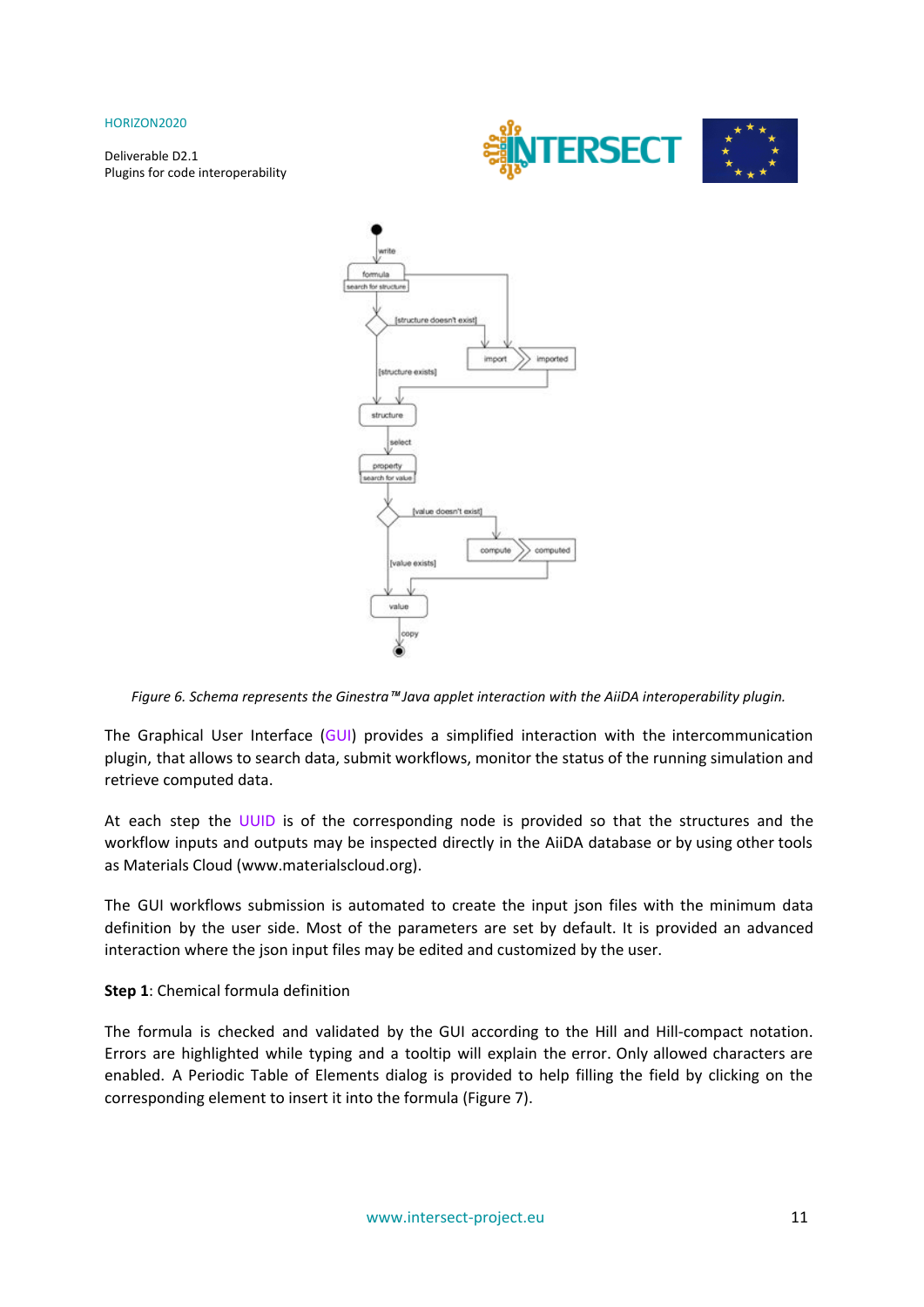Deliverable D2.1 Plugins for code interoperability





*Figure 6. Schema represents the Ginestra*™ *Java applet interaction with the AiiDA interoperability plugin.*

The Graphical User Interface (GUI) provides a simplified interaction with the intercommunication plugin, that allows to search data, submit workflows, monitor the status of the running simulation and retrieve computed data.

At each step the UUID is of the corresponding node is provided so that the structures and the workflow inputs and outputs may be inspected directly in the AiiDA database or by using other tools as Materials Cloud ([www.materialscloud.](https://www.materialscloud.org/)org).

The GUI workflows submission is automated to create the input json files with the minimum data definition by the user side. Most of the parameters are set by default. It is provided an advanced interaction where the json input files may be edited and customized by the user.

#### **Step 1**: Chemical formula definition

The formula is checked and validated by the GUI according to the Hill and Hill-compact notation. Errors are highlighted while typing and a tooltip will explain the error. Only allowed characters are enabled. A Periodic Table of Elements dialog is provided to help filling the field by clicking on the corresponding element to insert it into the formula (Figure 7).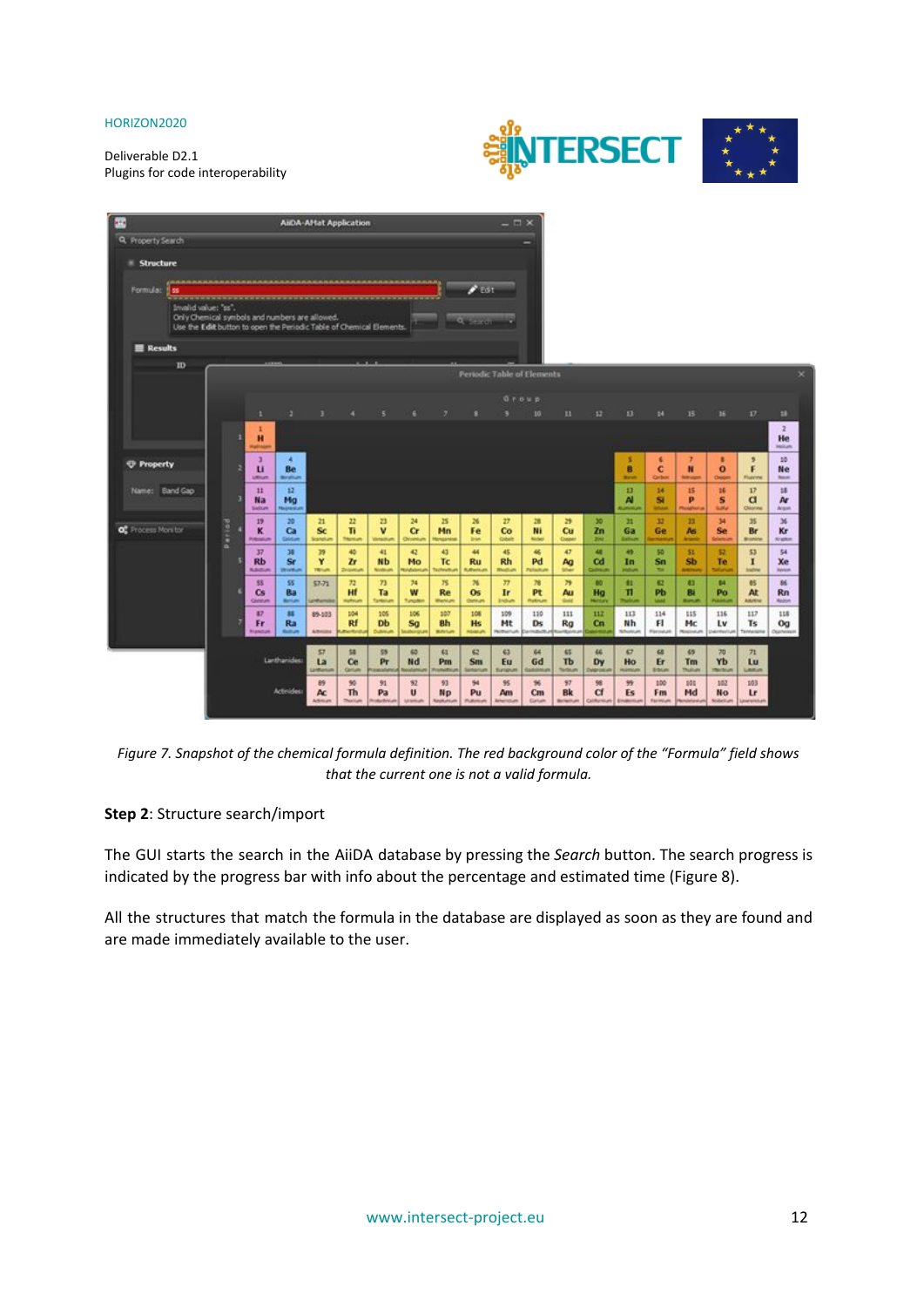



**AHDA-Affat Application** 靈 Q. Property Search Structure Formula 1 **E** Results m dic Table of Elen ū  $\frac{2}{10}$ Ĥ 10 ů ř *C* Property Be B ċ п  $\ddot{\mathbf{o}}$ Ne  $\frac{12}{M_0}$  $\frac{13}{14}$ Name: Band Gap  $\frac{11}{168}$  $\frac{15}{P}$  $\frac{16}{5}$  $\frac{v}{a}$  $\frac{18}{M}$  $\frac{14}{54}$  $\frac{19}{K}$  $\overset{\scriptscriptstyle{20}}{\mathbf{G}}$  $\frac{11}{68}$ <sup>34</sup><br>Se 35<br>Br  $\overline{\mathbf{x}}$  $\frac{22}{11}$ 23<br>V  $\frac{12}{\text{Ge}}$  $\frac{13}{\Lambda}$ of Process More for  $\ddot{s}$  $\ddot{\alpha}$ Mn Fe  $\infty$ M  $\tilde{\mathbf{c}}$  $\overline{\mathbf{z}}$ n Kr  $\frac{v}{A_0}$  $\frac{17}{Rb}$  $\frac{45}{Rh}$  $\frac{54}{Xe}$  $\frac{38}{56}$  $\frac{41}{\text{Nb}}$ 44  $\frac{a}{cd}$  $\frac{9}{10}$ so<br>Sm  $\frac{53}{1}$ Y  $\frac{43}{10}$  $\frac{12}{16}$ ž, Mo  $\overline{rd}$  $\ddot{\mathbf{s}}$ Ru  $\frac{\mu}{p_0}$  $\frac{85}{\text{At}}$ 86<br>Rn  $_{\rm cs}^{\rm g}$ ss<br>Ba 57.72  $\frac{73}{18}$  $\frac{39}{44}$  $\frac{c}{p_{\rm b}}$ 81<br>Bl  $\frac{n}{10}$  $\frac{10}{149}$ n  $\overset{\circ}{Re}$ ĤÌ w  $\ddot{\mathbf{o}}$ s  $\tilde{\mathbf{r}}$  $\frac{105}{Db}$ 307<br>Bh 109<br>Mt  $\frac{110}{\text{Ds}}$ 111<br>Rg  $\frac{117}{15}$  $\frac{118}{\text{Og}}$ gr<br>Fr 89-103 106<br>Sg 106<br>Hs  $\frac{12}{9}$  $\frac{113}{N h}$  $\frac{115}{\text{Mc}}$  $\frac{116}{L}$ u<br>Ra  $\frac{104}{Rf}$  $\frac{114}{\mathbf{F1}}$ **ka** 55<br>Pr ts. ده E3 71 ű, La  $\overline{\mathbf{C}}$ Nd Pm Sm Eu Gd  $\dddot{\mathbf{r}}$ Dy Ho  $\mathbf{r}$ Tm Yb 102<br>No 103<br>Lr  $\frac{90}{10}$  $\frac{91}{Pa}$  $_{\rm Np}^{93}$  $_{\mathrm{Pu}}^{\mathrm{S1}}$  $\frac{95}{\text{Am}}$  $\frac{100}{\text{Fm}}$  $\frac{101}{Md}$  $\frac{89}{\text{Ac}}$  $\frac{92}{9}$  $\frac{97}{8k}$  $\frac{18}{C1}$  $\frac{99}{15}$  $\tilde{c}$ 

Figure 7. Snapshot of the chemical formula definition. The red background color of the "Formula" field shows *that the current one is not a valid formula.*

#### **Step 2**: Structure search/import

The GUI starts the search in the AiiDA database by pressing the *Search* button. The search progress is indicated by the progress bar with info about the percentage and estimated time (Figure 8).

All the structures that match the formula in the database are displayed as soon as they are found and are made immediately available to the user.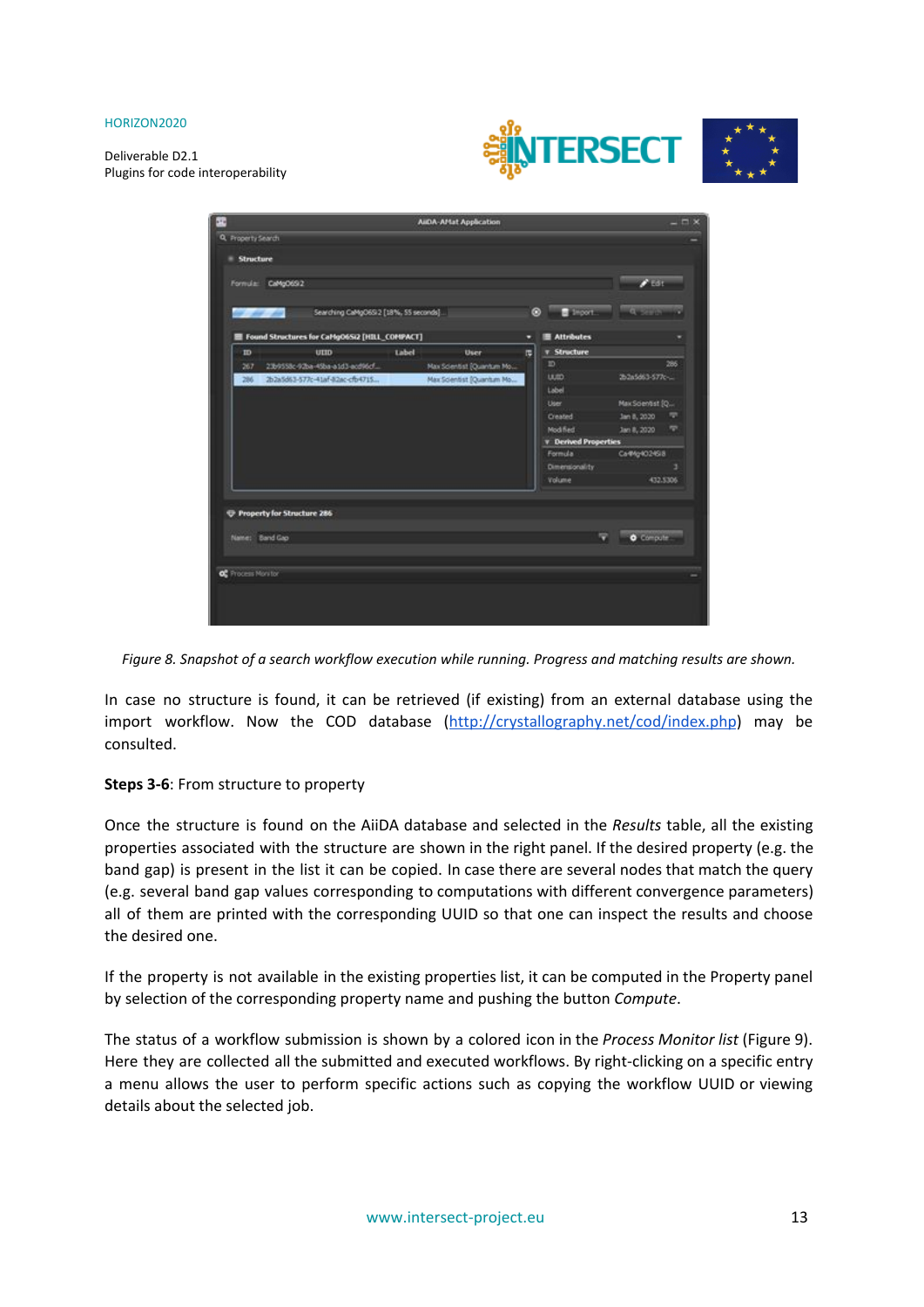Deliverable D2.1 Plugins for code interoperability





*Figure 8. Snapshot of a search workflow execution while running. Progress and matching results are shown.*

In case no structure is found, it can be retrieved (if existing) from an external database using the import workflow. Now the COD database (<http://crystallography.net/cod/index.php>) may be consulted.

#### **Steps 3-6**: From structure to property

Once the structure is found on the AiiDA database and selected in the *Results* table, all the existing properties associated with the structure are shown in the right panel. If the desired property (e.g. the band gap) is present in the list it can be copied. In case there are several nodes that match the query (e.g. several band gap values corresponding to computations with different convergence parameters) all of them are printed with the corresponding UUID so that one can inspect the results and choose the desired one.

If the property is not available in the existing properties list, it can be computed in the Property panel by selection of the corresponding property name and pushing the button *Compute*.

The status of a workflow submission is shown by a colored icon in the *Process Monitor list* (Figure 9). Here they are collected all the submitted and executed workflows. By right-clicking on a specific entry a menu allows the user to perform specific actions such as copying the workflow UUID or viewing details about the selected job.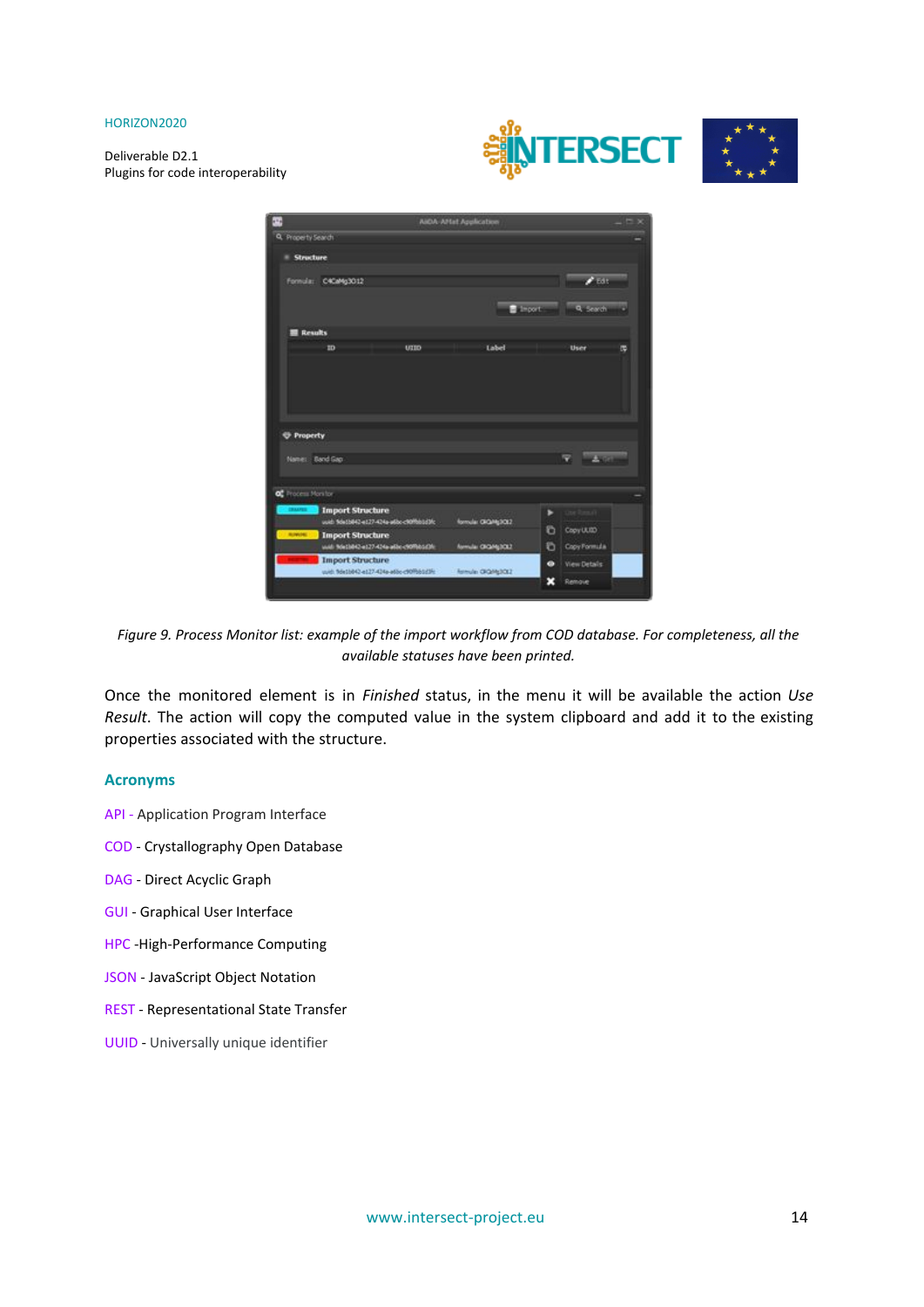Deliverable D2.1 Plugins for code interoperability



|                                 |                                                                     |     | <b>AIOA AHat Application</b> |             |              |   |
|---------------------------------|---------------------------------------------------------------------|-----|------------------------------|-------------|--------------|---|
| Q. Property Search              |                                                                     |     |                              |             |              |   |
| <b>Structure</b>                |                                                                     |     |                              |             |              |   |
|                                 | Formula: C4CaMg3012                                                 |     |                              |             | 2500         |   |
|                                 |                                                                     |     |                              |             |              |   |
|                                 |                                                                     |     |                              | $F$ import: | Q. Search    |   |
| Results                         |                                                                     |     |                              |             |              |   |
|                                 | <b>ID</b>                                                           | ump | Label                        |             | User         | œ |
|                                 |                                                                     |     |                              |             |              |   |
|                                 |                                                                     |     |                              |             |              |   |
|                                 |                                                                     |     |                              |             |              |   |
| <b><i><u>O</u></i></b> Property |                                                                     |     |                              |             |              |   |
|                                 |                                                                     |     |                              |             |              |   |
| Name: Band Gap                  |                                                                     |     |                              |             |              |   |
|                                 |                                                                     |     |                              |             |              |   |
| <b>CRAAPED</b>                  | <b>Import Structure</b>                                             |     |                              | ٠           |              |   |
|                                 | uuib 9de1b842-e127-424a-albo-c90ffsbüd3fc                           |     | omula: 0kg/kg3022            |             |              |   |
| <b>ROWDER TO</b>                | Import Structure                                                    |     |                              | G           | CopyUUD      |   |
|                                 | wid: 9de1b042-e127-424a-a6bc-c90f9b1c09c<br><b>Import Structure</b> |     | formula: CROM(3CL2           | Ð           | Copy Formula |   |
| of Process Monitor              | ush 96(1602-417) 434-adic-d0961/35-                                 |     | formula: 000/63002           | œ           | View Details |   |

Figure 9. Process Monitor list: example of the import workflow from COD database. For completeness, all the *available statuses have been printed.*

Once the monitored element is in *Finished* status, in the menu it will be available the action *Use Result*. The action will copy the computed value in the system clipboard and add it to the existing properties associated with the structure.

#### **Acronyms**

- API Application Program Interface
- COD Crystallography Open Database
- DAG Direct Acyclic Graph
- GUI Graphical User Interface
- HPC -High-Performance Computing
- JSON JavaScript Object Notation
- REST Representational State Transfer
- UUID Universally unique identifier